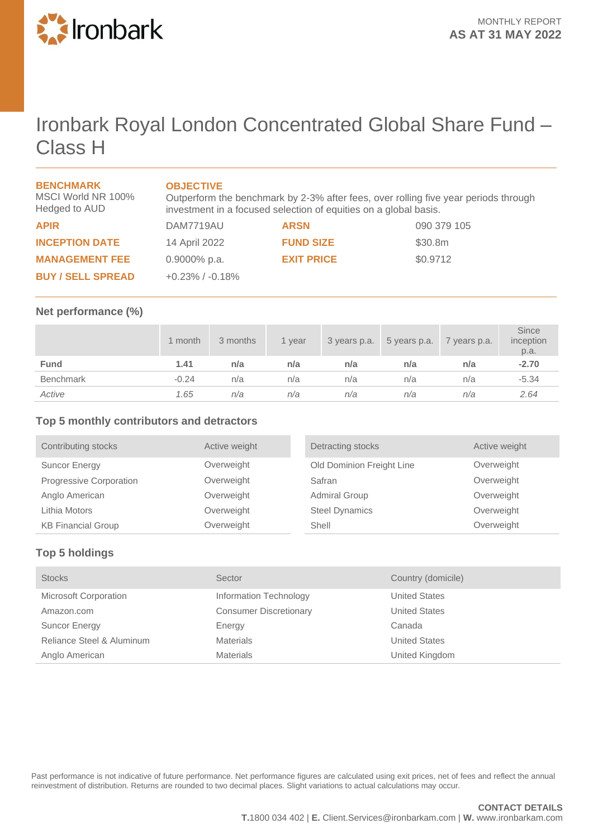

# Ironbark Royal London Concentrated Global Share Fund – Class H

| <b>BENCHMARK</b><br>MSCI World NR 100%<br>Hedged to AUD | <b>OBJECTIVE</b><br>Outperform the benchmark by 2-3% after fees, over rolling five year periods through<br>investment in a focused selection of equities on a global basis. |                   |             |
|---------------------------------------------------------|-----------------------------------------------------------------------------------------------------------------------------------------------------------------------------|-------------------|-------------|
| <b>APIR</b>                                             | DAM7719AU                                                                                                                                                                   | <b>ARSN</b>       | 090 379 105 |
| <b>INCEPTION DATE</b>                                   | 14 April 2022                                                                                                                                                               | <b>FUND SIZE</b>  | \$30.8m     |
| <b>MANAGEMENT FEE</b>                                   | $0.9000\%$ p.a.                                                                                                                                                             | <b>EXIT PRICE</b> | \$0.9712    |
| <b>BUY / SELL SPREAD</b>                                | $+0.23\%$ / $-0.18\%$                                                                                                                                                       |                   |             |

#### **Net performance (%)**

|             | 1 month | 3 months | 1 year | 3 years p.a. | 5 years p.a. | 7 years p.a. | <b>Since</b><br>inception<br>p.a. |
|-------------|---------|----------|--------|--------------|--------------|--------------|-----------------------------------|
| <b>Fund</b> | 1.41    | n/a      | n/a    | n/a          | n/a          | n/a          | $-2.70$                           |
| Benchmark   | $-0.24$ | n/a      | n/a    | n/a          | n/a          | n/a          | $-5.34$                           |
| Active      | 1.65    | n/a      | n/a    | n/a          | n/a          | n/a          | 2.64                              |

### **Top 5 monthly contributors and detractors**

| Contributing stocks       | Active weight | Detracting stocks         | Active weight |
|---------------------------|---------------|---------------------------|---------------|
| Suncor Energy             | Overweight    | Old Dominion Freight Line | Overweight    |
| Progressive Corporation   | Overweight    | Safran                    | Overweight    |
| Anglo American            | Overweight    | <b>Admiral Group</b>      | Overweight    |
| Lithia Motors             | Overweight    | <b>Steel Dynamics</b>     | Overweight    |
| <b>KB Financial Group</b> | Overweight    | Shell                     | Overweight    |

## **Top 5 holdings**

| <b>Stocks</b>                | Sector                        | Country (domicile)   |
|------------------------------|-------------------------------|----------------------|
| <b>Microsoft Corporation</b> | Information Technology        | <b>United States</b> |
| Amazon.com                   | <b>Consumer Discretionary</b> | <b>United States</b> |
| <b>Suncor Energy</b>         | Energy                        | Canada               |
| Reliance Steel & Aluminum    | <b>Materials</b>              | <b>United States</b> |
| Anglo American               | <b>Materials</b>              | United Kingdom       |

Past performance is not indicative of future performance. Net performance figures are calculated using exit prices, net of fees and reflect the annual reinvestment of distribution. Returns are rounded to two decimal places. Slight variations to actual calculations may occur.